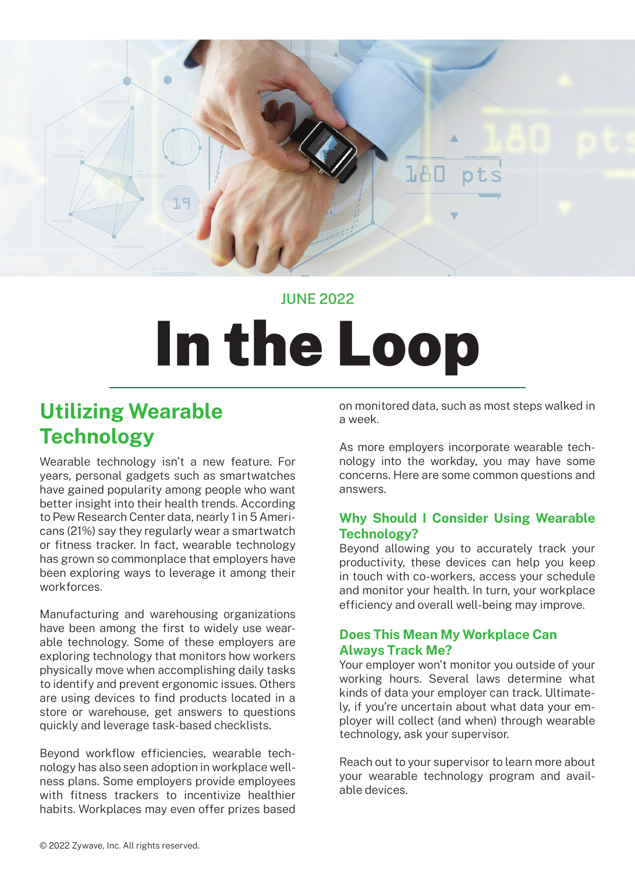

### JUNE 2022

# In the Loop

# **Utilizing Wearable Technology**

Wearable technology isn't a new feature. For years, personal gadgets such as smartwatches have gained popularity among people who want better insight into their health trends. According to Pew Research Center data, nearly 1 in 5 Americans (21%) say they regularly wear a smartwatch or fitness tracker. In fact, wearable technology has grown so commonplace that employers have been exploring ways to leverage it among their workforces.

Manufacturing and warehousing organizations have been among the first to widely use wearable technology. Some of these employers are exploring technology that monitors how workers physically move when accomplishing daily tasks to identify and prevent ergonomic issues. Others are using devices to find products located in a store or warehouse, get answers to questions quickly and leverage task-based checklists.

Beyond workflow efficiencies, wearable technology has also seen adoption in workplace wellness plans. Some employers provide employees with fitness trackers to incentivize healthier habits. Workplaces may even offer prizes based on monitored data, such as most steps walked in a week.

As more employers incorporate wearable technology into the workday, you may have some concerns. Here are some common questions and answers.

#### **Why Should I Consider Using Wearable Technology?**

Beyond allowing you to accurately track your productivity, these devices can help you keep in touch with co-workers, access your schedule and monitor your health. In turn, your workplace efficiency and overall well-being may improve.

#### **Does This Mean My Workplace Can Always Track Me?**

Your employer won't monitor you outside of your working hours. Several laws determine what kinds of data your employer can track. Ultimately, if you're uncertain about what data your employer will collect (and when) through wearable technology, ask your supervisor.

Reach out to your supervisor to learn more about your wearable technology program and available devices.